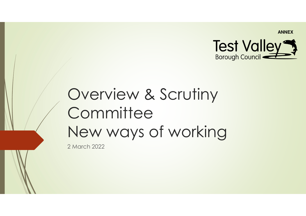

# Overview & Scrutiny **Committee** New ways of working

2 March 2022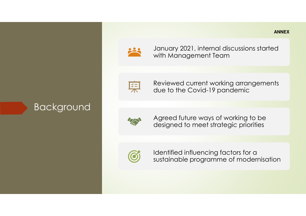

January 2021, internal discussions started with Management Team



Reviewed current working arrangements due to the Covid-19 pandemic



Background

Agreed future ways of working to be designed to meet strategic priorities



Identified influencing factors for a sustainable programme of modernisation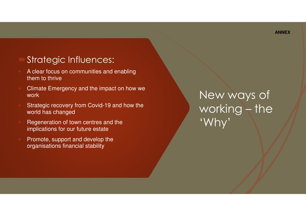### Strategic Influences:

- A clear focus on communities and enabling them to thrive
- Climate Emergency and the impact on how we work
- Strategic recovery from Covid-19 and how the world has changed
- Regeneration of town centres and the implications for our future estate
- Promote, support and develop the organisations financial stability

New ways of working – the 'Why'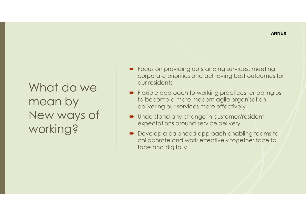## What do we mean by New ways of working?

- Focus on providing outstanding services, meeting<br>Corporate priorities and achieving best outcomes corporate priorities and achieving best outcomes for our residents
- Flexible approach to working practices, enabling us<br>to become a more modern agile organisation to become a more modern agile organisation delivering our services more effectively
- Understand any change in customer/resident expectations around service delivery
- Develop a balanced approach enabling teams to<br>
collaborate and work effectively together face to collaborate and work effectively together face to face and digitally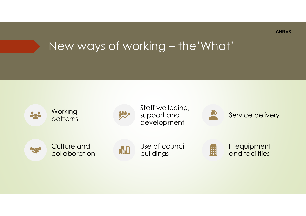## New ways of working – the'What'

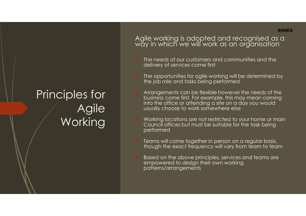## Principles for Agile **Working**

Agile working is adopted and recognised as a way in which we will work as an organisation

- The needs of our customers and communities and the delivery of services come first
- The opportunities for agile working will be determined by the job role and tasks being performed
- Arrangements can be flexible however the needs of the business come first. For example, this may mean coming into the office or attending a site on a day you would usually choose to work somewhere else
- Working locations are not restricted to your home or main Council offices but must be suitable for the task being performed
- Teams will come together in person on a regular basis, though the exact frequency will vary from team to team
- Based on the above principles, services and teams are empowered to design their own working patterns/arrangements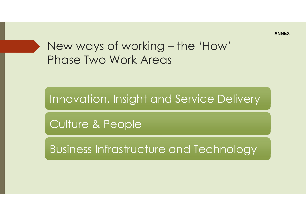

Innovation, Insight and Service Delivery

Culture & People

Business Infrastructure and Technology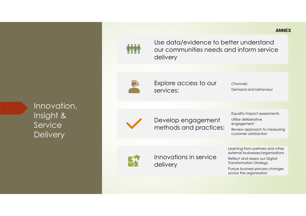### Innovation, Insight & Service **Delivery**

#### Use data/evidence to better understand our communities needs and inform service delivery

Explore access to our services:

**Channels** Demand and behaviour **ANNEX**

Develop engagement methods and practices: Equality Impact assessments Utilise deliberative engagement

Review approach to measuring customer satisfaction

Learning from partners and other external businesses/organisations

Reflect and assess our Digital Transformation Strategy

Pursue business process changes across the organisation



Innovations in service delivery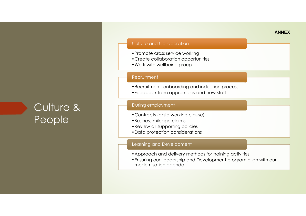### Culture & People

#### Culture and Collaboration

- •Promote cross service working
- •Create collaboration opportunities
- •Work with wellbeing group

#### **Recruitment**

- •Recruitment, onboarding and induction process
- •Feedback from apprentices and new staff

#### During employment

- •Contracts (agile working clause)
- •Business mileage claims
- •Review all supporting policies
- •Data protection considerations

#### Learning and Development

- •Approach and delivery methods for training activities
- •Ensuring our Leadership and Development program align with our modernisation agenda

#### **ANNEX**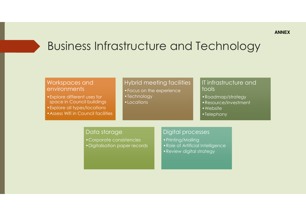### Business Infrastructure and Technology

#### Workspaces and environments

•Explore different uses for space in Council buildings •Explore all types/locations•Assess Wifi in Council facilities

#### Hybrid meeting facilities

- •Focus on the experience
- •Technology
- •Locations

#### IT infrastructure and tools

- •Roadmap/strategy
- •Resource/investment
- •Website
- •Telephony

#### Data storage

- •Corporate consistencies
- •Digitalisation paper records

#### Digital processes

- •Printing/Mailing
- •Role of Artificial Intelligence
- •Review digital strategy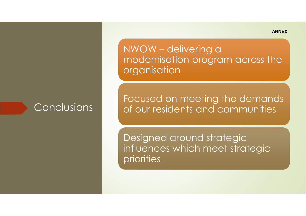Conclusions

NWOW – delivering a modernisation program across the **organisation** 

Focused on meeting the demands of our residents and communities

Designed around strategic influences which meet strategic priorities